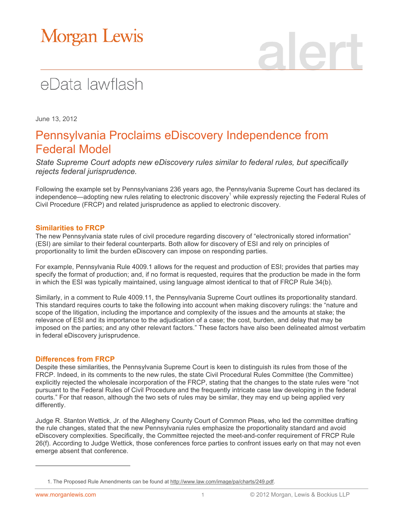# Morgan Lewis

## eData lawflash

June 13, 2012

### Pennsylvania Proclaims eDiscovery Independence from Federal Model

*State Supreme Court adopts new eDiscovery rules similar to federal rules, but specifically rejects federal jurisprudence.*

Following the example set by Pennsylvanians 236 years ago, the Pennsylvania Supreme Court has declared its independence—adopting new rules relating to electronic discovery<sup>1</sup> while expressly rejecting the Federal Rules of Civil Procedure (FRCP) and related jurisprudence as applied to electronic discovery.

### **Similarities to FRCP**

The new Pennsylvania state rules of civil procedure regarding discovery of "electronically stored information" (ESI) are similar to their federal counterparts. Both allow for discovery of ESI and rely on principles of proportionality to limit the burden eDiscovery can impose on responding parties.

For example, Pennsylvania Rule 4009.1 allows for the request and production of ESI; provides that parties may specify the format of production; and, if no format is requested, requires that the production be made in the form in which the ESI was typically maintained, using language almost identical to that of FRCP Rule 34(b).

Similarly, in a comment to Rule 4009.11, the Pennsylvania Supreme Court outlines its proportionality standard. This standard requires courts to take the following into account when making discovery rulings: the "nature and scope of the litigation, including the importance and complexity of the issues and the amounts at stake; the relevance of ESI and its importance to the adjudication of a case; the cost, burden, and delay that may be imposed on the parties; and any other relevant factors." These factors have also been delineated almost verbatim in federal eDiscovery jurisprudence.

### **Differences from FRCP**

Despite these similarities, the Pennsylvania Supreme Court is keen to distinguish its rules from those of the FRCP. Indeed, in its comments to the new rules, the state Civil Procedural Rules Committee (the Committee) explicitly rejected the wholesale incorporation of the FRCP, stating that the changes to the state rules were "not pursuant to the Federal Rules of Civil Procedure and the frequently intricate case law developing in the federal courts." For that reason, although the two sets of rules may be similar, they may end up being applied very differently.

Judge R. Stanton Wettick, Jr. of the Allegheny County Court of Common Pleas, who led the committee drafting the rule changes, stated that the new Pennsylvania rules emphasize the proportionality standard and avoid eDiscovery complexities. Specifically, the Committee rejected the meet-and-confer requirement of FRCP Rule 26(f). According to Judge Wettick, those conferences force parties to confront issues early on that may not even emerge absent that conference.

 $\overline{a}$ 

<sup>1.</sup> The Proposed Rule Amendments can be found at [http://www.law.com/image/pa/charts/249.pdf.](http://www.law.com/image/pa/charts/249.pdf)